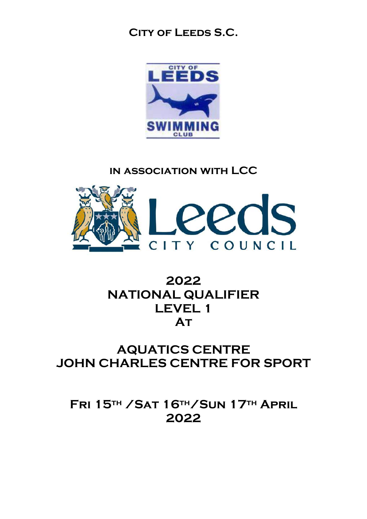### **City of Leeds S.C.**



### **in association with LCC**



## **2022 NATIONAL QUALIFIER LEVEL 1 At**

### **AQUATICS CENTRE JOHN CHARLES CENTRE FOR SPORT**

**Fri 15th /Sat 16th/Sun 17th April 2022**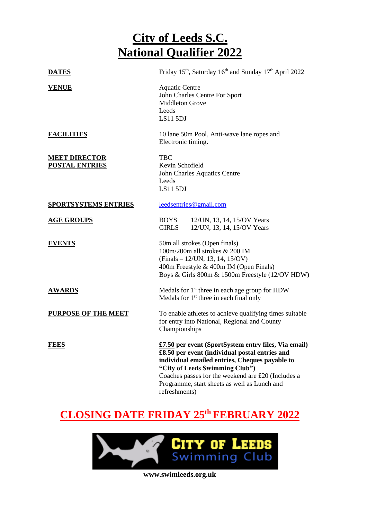| <b>DATES</b>                                  | Friday 15 <sup>th</sup> , Saturday 16 <sup>th</sup> and Sunday 17 <sup>th</sup> April 2022                                                                                                                                                                                                                        |  |  |  |
|-----------------------------------------------|-------------------------------------------------------------------------------------------------------------------------------------------------------------------------------------------------------------------------------------------------------------------------------------------------------------------|--|--|--|
| <b>VENUE</b>                                  | <b>Aquatic Centre</b><br>John Charles Centre For Sport<br><b>Middleton Grove</b><br>Leeds<br>LS115DJ                                                                                                                                                                                                              |  |  |  |
| <b>FACILITIES</b>                             | 10 lane 50m Pool, Anti-wave lane ropes and<br>Electronic timing.                                                                                                                                                                                                                                                  |  |  |  |
| <b>MEET DIRECTOR</b><br><b>POSTAL ENTRIES</b> | <b>TBC</b><br>Kevin Schofield<br>John Charles Aquatics Centre<br>Leeds<br>LS115DJ                                                                                                                                                                                                                                 |  |  |  |
| <b>SPORTSYSTEMS ENTRIES</b>                   | leedsentries@gmail.com                                                                                                                                                                                                                                                                                            |  |  |  |
| <b>AGE GROUPS</b>                             | BOYS<br>12/UN, 13, 14, 15/OV Years<br><b>GIRLS</b><br>12/UN, 13, 14, 15/OV Years                                                                                                                                                                                                                                  |  |  |  |
| <b>EVENTS</b>                                 | 50m all strokes (Open finals)<br>100m/200m all strokes & 200 IM<br>$(Finals - 12/UN, 13, 14, 15/OV)$<br>400m Freestyle & 400m IM (Open Finals)<br>Boys & Girls 800m & 1500m Freestyle (12/OV HDW)                                                                                                                 |  |  |  |
| <b>AWARDS</b>                                 | Medals for 1 <sup>st</sup> three in each age group for HDW<br>Medals for 1 <sup>st</sup> three in each final only                                                                                                                                                                                                 |  |  |  |
| <b>PURPOSE OF THE MEET</b>                    | To enable athletes to achieve qualifying times suitable<br>for entry into National, Regional and County<br>Championships                                                                                                                                                                                          |  |  |  |
| <b>FEES</b>                                   | £7.50 per event (SportSystem entry files, Via email)<br>£8.50 per event (individual postal entries and<br>individual emailed entries, Cheques payable to<br>"City of Leeds Swimming Club")<br>Coaches passes for the weekend are £20 (Includes a<br>Programme, start sheets as well as Lunch and<br>refreshments) |  |  |  |

## **CLOSING DATE FRIDAY 25 th FEBRUARY 2022**

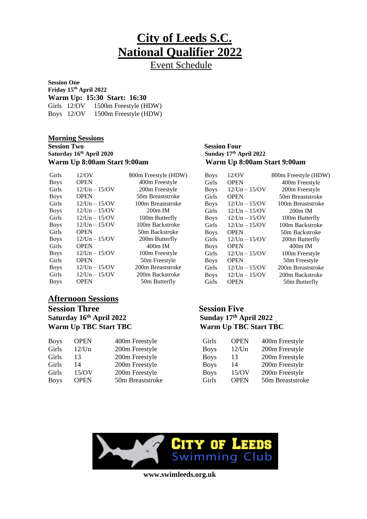Event Schedule

800m Freestyle (HDW) 400m Freestyle 200m Freestyle 50m Breaststroke 100m Breaststroke  $200m$  IM 100m Butterfly 100m Backstroke 50m Backstroke 200m Butterfly 400m IM 100m Freestyle 50m Freestyle 200m Breaststroke 200m Backstroke 50m Butterfly

**Session One Friday 15 th April 2022 Warm Up: 15:30 Start: 16:30** Girls 12/OV 1500m Freestyle (HDW) Boys 12/OV 1500m Freestyle (HDW)

#### **Morning Sessions**

**Session Two Session Four Saturday 16 th April 2020 Sunday 17 Warm Up 8:00am Start 9:00am Warm Up 8:00am Start 9:00am** 

| Girls       | 12/OV               |
|-------------|---------------------|
| <b>Boys</b> | <b>OPEN</b>         |
| Girls       | $12/Un - 15/OV$     |
| <b>Boys</b> | <b>OPEN</b>         |
| Girls       | $12/Un - 15/OV$     |
| <b>Boys</b> | $12$ /Un $- 15$ /OV |
| Girls       | $12/Un - 15/OV$     |
| <b>Boys</b> | $12$ /Un $- 15$ /OV |
| Girls       | <b>OPEN</b>         |
| <b>Boys</b> | $12/Un - 15/OV$     |
| Girls       | <b>OPEN</b>         |
| <b>Boys</b> | $12$ /Un $- 15$ /OV |
| Girls       | <b>OPEN</b>         |
| <b>Boys</b> | $12$ /Un $- 15$ /OV |
| Girls       | $12$ /Un $- 15$ /OV |
| <b>Boys</b> | OPEN                |

### **Afternoon Sessions**

**Session Three Session Five Saturday 16 th April 2022 Sunday 17 Warm Up TBC Start TBC Warm Up TBC Start TBC**

| <b>OPEN</b> | 400m Freestyle   | Girls       | <b>OPEN</b> | 400m Freestyle   |
|-------------|------------------|-------------|-------------|------------------|
| 12/Un       | 200m Freestyle   | <b>Boys</b> | 12/Un       | 200m Freestyle   |
| 13          | 200m Freestyle   | <b>Boys</b> | 13          | 200m Freestyle   |
| 14          | 200m Freestyle   | <b>Boys</b> | 14          | 200m Freestyle   |
| 15/OV       | 200m Freestyle   | <b>Boys</b> | 15/OV       | 200m Freestyle   |
| <b>OPEN</b> | 50m Breaststroke | Girls       | <b>OPEN</b> | 50m Breaststroke |
|             |                  |             |             |                  |

## **th April 2022**

| <b>Boys</b> | 12/OV               | 800m Freestyle (HDW) |
|-------------|---------------------|----------------------|
| Girls       | <b>OPEN</b>         | 400m Freestyle       |
| <b>Boys</b> | $12$ /Un $- 15$ /OV | 200m Freestyle       |
| Girls       | <b>OPEN</b>         | 50m Breaststroke     |
| <b>Boys</b> | $12$ /Un $- 15$ /OV | 100m Breaststroke    |
| Girls       | $12$ /Un $- 15$ /OV | $200m$ IM            |
| <b>Boys</b> | $12/Un - 15/OV$     | 100m Butterfly       |
| Girls       | $12$ /Un $- 15$ /OV | 100m Backstroke      |
| <b>Boys</b> | <b>OPEN</b>         | 50m Backstroke       |
| Girls       | $12$ /Un $- 15$ /OV | 200m Butterfly       |
| <b>Boys</b> | <b>OPEN</b>         | 400m IM              |
| Girls       | $12$ /Un $- 15$ /OV | 100m Freestyle       |
| <b>Boys</b> | <b>OPEN</b>         | 50m Freestyle        |
| Girls       | $12$ /Un $- 15$ /OV | 200m Breaststroke    |
| <b>Boys</b> | $12/Un - 15/OV$     | 200m Backstroke      |
| Girls       | <b>OPEN</b>         | 50m Butterfly        |

# **Sunday 17th April 2022**

| Girls       | <b>OPEN</b> | 400m Freestyle   |
|-------------|-------------|------------------|
| <b>Boys</b> | 12/Un       | 200m Freestyle   |
| <b>Boys</b> | 13          | 200m Freestyle   |
| <b>Boys</b> | 14          | 200m Freestyle   |
| <b>Boys</b> | 15/OV       | 200m Freestyle   |
| Girls       | <b>OPEN</b> | 50m Breaststroke |

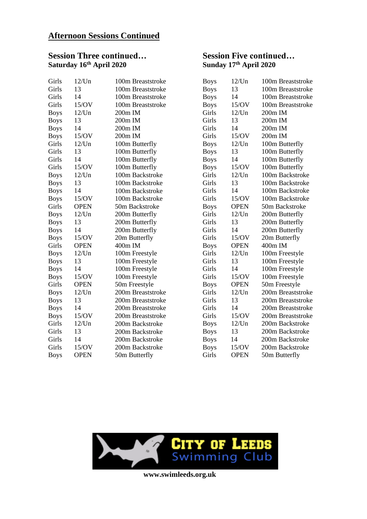### **Afternoon Sessions Continued**

### **Session Three continued… Session Five continued… Saturday 16 th April 2020 Sunday 17**

| Girls       | $12$ /Un    | 100m Breaststroke | <b>Boys</b> | 12/Un       | 100m Breaststroke |
|-------------|-------------|-------------------|-------------|-------------|-------------------|
| Girls       | 13          | 100m Breaststroke | <b>Boys</b> | 13          | 100m Breaststroke |
| Girls       | 14          | 100m Breaststroke | <b>Boys</b> | 14          | 100m Breaststroke |
| Girls       | 15/OV       | 100m Breaststroke | <b>Boys</b> | 15/OV       | 100m Breaststroke |
| <b>Boys</b> | 12/Un       | 200m IM           | Girls       | 12/Un       | 200m IM           |
| <b>Boys</b> | 13          | 200m IM           | Girls       | 13          | 200m IM           |
| <b>Boys</b> | 14          | 200m IM           | Girls       | 14          | 200m IM           |
| <b>Boys</b> | 15/OV       | 200m IM           | Girls       | 15/OV       | 200m IM           |
| Girls       | 12/Un       | 100m Butterfly    | <b>Boys</b> | 12/Un       | 100m Butterfly    |
| Girls       | 13          | 100m Butterfly    | <b>Boys</b> | 13          | 100m Butterfly    |
| Girls       | 14          | 100m Butterfly    | <b>Boys</b> | 14          | 100m Butterfly    |
| Girls       | 15/OV       | 100m Butterfly    | <b>Boys</b> | 15/OV       | 100m Butterfly    |
| <b>Boys</b> | 12/Un       | 100m Backstroke   | Girls       | 12/Un       | 100m Backstroke   |
| <b>Boys</b> | 13          | 100m Backstroke   | Girls       | 13          | 100m Backstroke   |
| <b>Boys</b> | 14          | 100m Backstroke   | Girls       | 14          | 100m Backstroke   |
| <b>Boys</b> | 15/OV       | 100m Backstroke   | Girls       | 15/OV       | 100m Backstroke   |
| Girls       | <b>OPEN</b> | 50m Backstroke    | <b>Boys</b> | <b>OPEN</b> | 50m Backstroke    |
| <b>Boys</b> | 12/Un       | 200m Butterfly    | Girls       | 12/Un       | 200m Butterfly    |
| <b>Boys</b> | 13          | 200m Butterfly    | Girls       | 13          | 200m Butterfly    |
| <b>Boys</b> | 14          | 200m Butterfly    | Girls       | 14          | 200m Butterfly    |
| <b>Boys</b> | 15/OV       | 20m Butterfly     | Girls       | 15/OV       | 20m Butterfly     |
| Girls       | <b>OPEN</b> | 400m IM           | <b>Boys</b> | <b>OPEN</b> | 400m IM           |
| <b>Boys</b> | 12/Un       | 100m Freestyle    | Girls       | 12/Un       | 100m Freestyle    |
| <b>Boys</b> | 13          | 100m Freestyle    | Girls       | 13          | 100m Freestyle    |
| <b>Boys</b> | 14          | 100m Freestyle    | Girls       | 14          | 100m Freestyle    |
| <b>Boys</b> | 15/OV       | 100m Freestyle    | Girls       | 15/OV       | 100m Freestyle    |
| Girls       | <b>OPEN</b> | 50m Freestyle     | <b>Boys</b> | <b>OPEN</b> | 50m Freestyle     |
| <b>Boys</b> | 12/Un       | 200m Breaststroke | Girls       | 12/Un       | 200m Breaststroke |
| <b>Boys</b> | 13          | 200m Breaststroke | Girls       | 13          | 200m Breaststroke |
| <b>Boys</b> | 14          | 200m Breaststroke | Girls       | 14          | 200m Breaststroke |
| <b>Boys</b> | 15/OV       | 200m Breaststroke | Girls       | 15/OV       | 200m Breaststroke |
| Girls       | 12/Un       | 200m Backstroke   | <b>Boys</b> | 12/Un       | 200m Backstroke   |
| Girls       | 13          | 200m Backstroke   | <b>Boys</b> | 13          | 200m Backstroke   |
| Girls       | 14          | 200m Backstroke   | <b>Boys</b> | 14          | 200m Backstroke   |
| Girls       | 15/OV       | 200m Backstroke   | <b>Boys</b> | 15/OV       | 200m Backstroke   |
| <b>Boys</b> | <b>OPEN</b> | 50m Butterfly     | Girls       | <b>OPEN</b> | 50m Butterfly     |
|             |             |                   |             |             |                   |

## **th April 2020**

| <b>Boys</b> | 12/Un       | 100m Breaststroke |
|-------------|-------------|-------------------|
| <b>Boys</b> | 13          | 100m Breaststroke |
| <b>Boys</b> | 14          | 100m Breaststroke |
| <b>Boys</b> | 15/OV       | 100m Breaststroke |
| Girls       | 12/Un       | 200m IM           |
| Girls       | 13          | 200m IM           |
| Girls       | 14          | 200m IM           |
| Girls       | 15/OV       | 200m IM           |
| <b>Boys</b> | 12/Un       | 100m Butterfly    |
| <b>Boys</b> | 13          | 100m Butterfly    |
| <b>Boys</b> | 14          | 100m Butterfly    |
| <b>Boys</b> | 15/OV       | 100m Butterfly    |
| Girls       | $12$ /Un    | 100m Backstroke   |
| Girls       | 13          | 100m Backstroke   |
| Girls       | 14          | 100m Backstroke   |
| Girls       | 15/OV       | 100m Backstroke   |
| <b>Boys</b> | <b>OPEN</b> | 50m Backstroke    |
| Girls       | $12$ /Un    | 200m Butterfly    |
| Girls       | 13          | 200m Butterfly    |
| Girls       | 14          | 200m Butterfly    |
| Girls       | 15/OV       | 20m Butterfly     |
| <b>Boys</b> | <b>OPEN</b> | 400m IM           |
| Girls       | 12/Un       | 100m Freestyle    |
| Girls       | 13          | 100m Freestyle    |
| Girls       | 14          | 100m Freestyle    |
| Girls       | 15/OV       | 100m Freestyle    |
| <b>Boys</b> | <b>OPEN</b> | 50m Freestyle     |
| Girls       | $12$ /Un    | 200m Breaststroke |
| Girls       | 13          | 200m Breaststroke |
| Girls       | 14          | 200m Breaststroke |
| Girls       | 15/OV       | 200m Breaststroke |
| <b>Boys</b> | 12/Un       | 200m Backstroke   |
| <b>Boys</b> | 13          | 200m Backstroke   |
| <b>Boys</b> | 14          | 200m Backstroke   |
| <b>Boys</b> | 15/OV       | 200m Backstroke   |
| Girls       | <b>OPEN</b> | 50m Butterfly     |

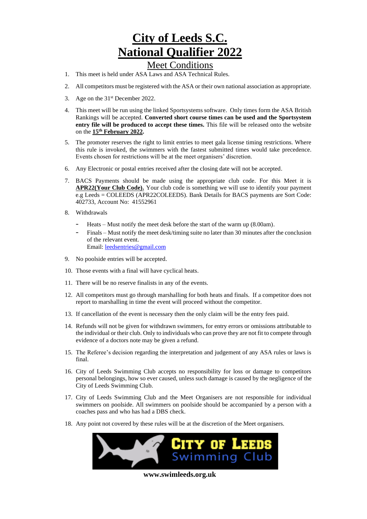#### Meet Conditions

- 1. This meet is held under ASA Laws and ASA Technical Rules.
- 2. All competitors must be registered with the ASA or their own national association as appropriate.
- 3. Age on the  $31<sup>st</sup>$  December 2022.
- 4. This meet will be run using the linked Sportsystems software. Only times form the ASA British Rankings will be accepted. **Converted short course times can be used and the Sportsystem entry file will be produced to accept these times.** This file will be released onto the website on the **15 th February 2022.**
- 5. The promoter reserves the right to limit entries to meet gala license timing restrictions. Where this rule is invoked, the swimmers with the fastest submitted times would take precedence. Events chosen for restrictions will be at the meet organisers' discretion.
- 6. Any Electronic or postal entries received after the closing date will not be accepted.
- 7. BACS Payments should be made using the appropriate club code. For this Meet it is **APR22(Your Club Code).** Your club code is something we will use to identify your payment e.g Leeds = COLEEDS (APR22COLEEDS). Bank Details for BACS payments are Sort Code: 402733, Account No: 41552961
- 8. Withdrawals
	- Heats Must notify the meet desk before the start of the warm up (8.00am).
	- Finals Must notify the meet desk/timing suite no later than 30 minutes after the conclusion of the relevant event. Email: [leedsentries@gmail.com](mailto:leedsentries@gmail.com)
- 9. No poolside entries will be accepted.
- 10. Those events with a final will have cyclical heats.
- 11. There will be no reserve finalists in any of the events.
- 12. All competitors must go through marshalling for both heats and finals. If a competitor does not report to marshalling in time the event will proceed without the competitor.
- 13. If cancellation of the event is necessary then the only claim will be the entry fees paid.
- 14. Refunds will not be given for withdrawn swimmers, for entry errors or omissions attributable to the individual or their club. Only to individuals who can prove they are not fit to compete through evidence of a doctors note may be given a refund.
- 15. The Referee's decision regarding the interpretation and judgement of any ASA rules or laws is final.
- 16. City of Leeds Swimming Club accepts no responsibility for loss or damage to competitors personal belongings, how so ever caused, unless such damage is caused by the negligence of the City of Leeds Swimming Club.
- 17. City of Leeds Swimming Club and the Meet Organisers are not responsible for individual swimmers on poolside. All swimmers on poolside should be accompanied by a person with a coaches pass and who has had a DBS check.
- 18. Any point not covered by these rules will be at the discretion of the Meet organisers.